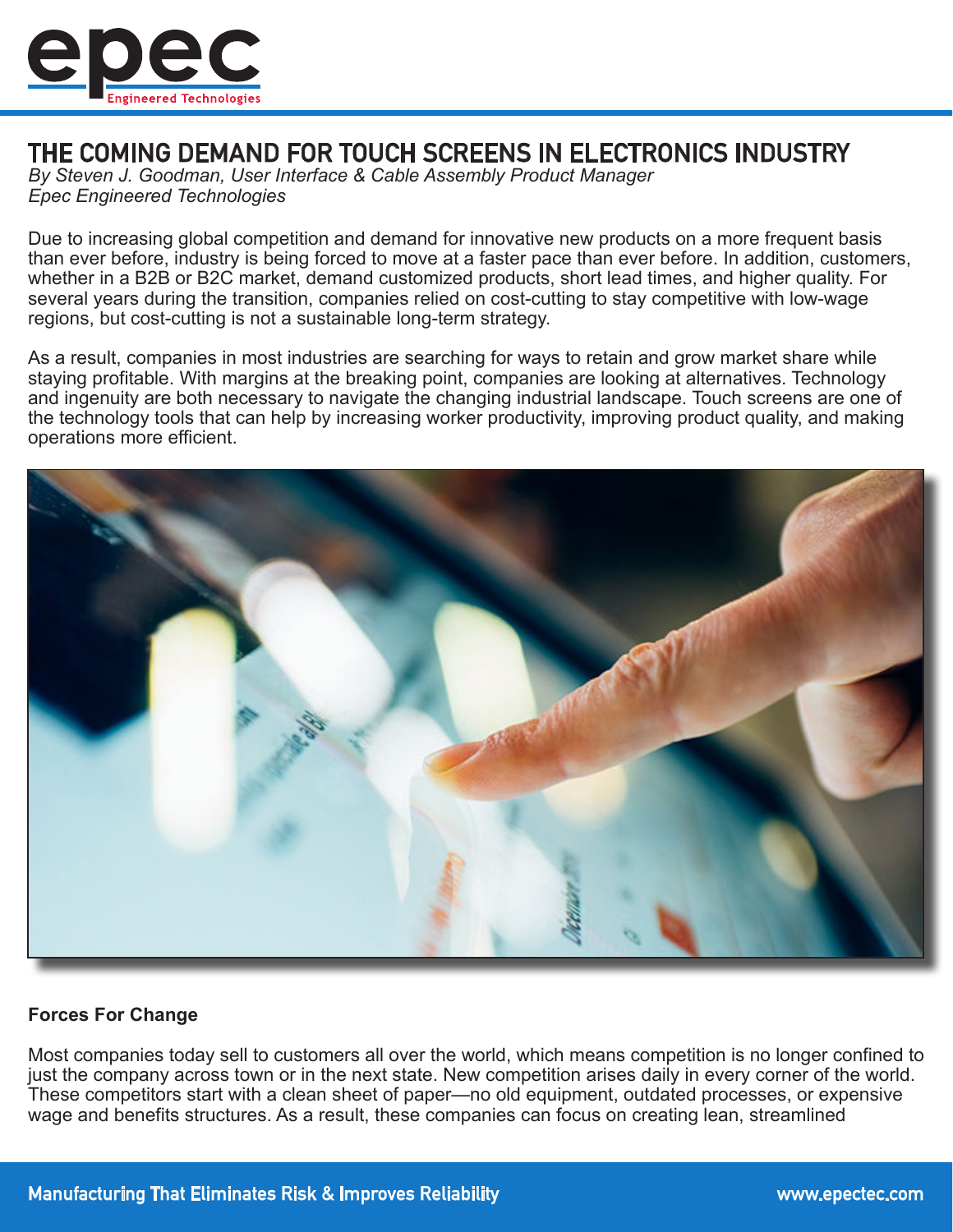

# THE COMING DEMAND FOR TOUCH SCREENS IN ELECTRONICS INDUSTRY

*By Steven J. Goodman, User Interface & Cable Assembly Product Manager Epec Engineered Technologies*

Due to increasing global competition and demand for innovative new products on a more frequent basis than ever before, industry is being forced to move at a faster pace than ever before. In addition, customers, whether in a B2B or B2C market, demand customized products, short lead times, and higher quality. For several years during the transition, companies relied on cost-cutting to stay competitive with low-wage regions, but cost-cutting is not a sustainable long-term strategy.

As a result, companies in most industries are searching for ways to retain and grow market share while staying profitable. With margins at the breaking point, companies are looking at alternatives. Technology and ingenuity are both necessary to navigate the changing industrial landscape. Touch screens are one of the technology tools that can help by increasing worker productivity, improving product quality, and making operations more efficient.



## **Forces For Change**

Most companies today sell to customers all over the world, which means competition is no longer confined to just the company across town or in the next state. New competition arises daily in every corner of the world. These competitors start with a clean sheet of paper—no old equipment, outdated processes, or expensive wage and benefits structures. As a result, these companies can focus on creating lean, streamlined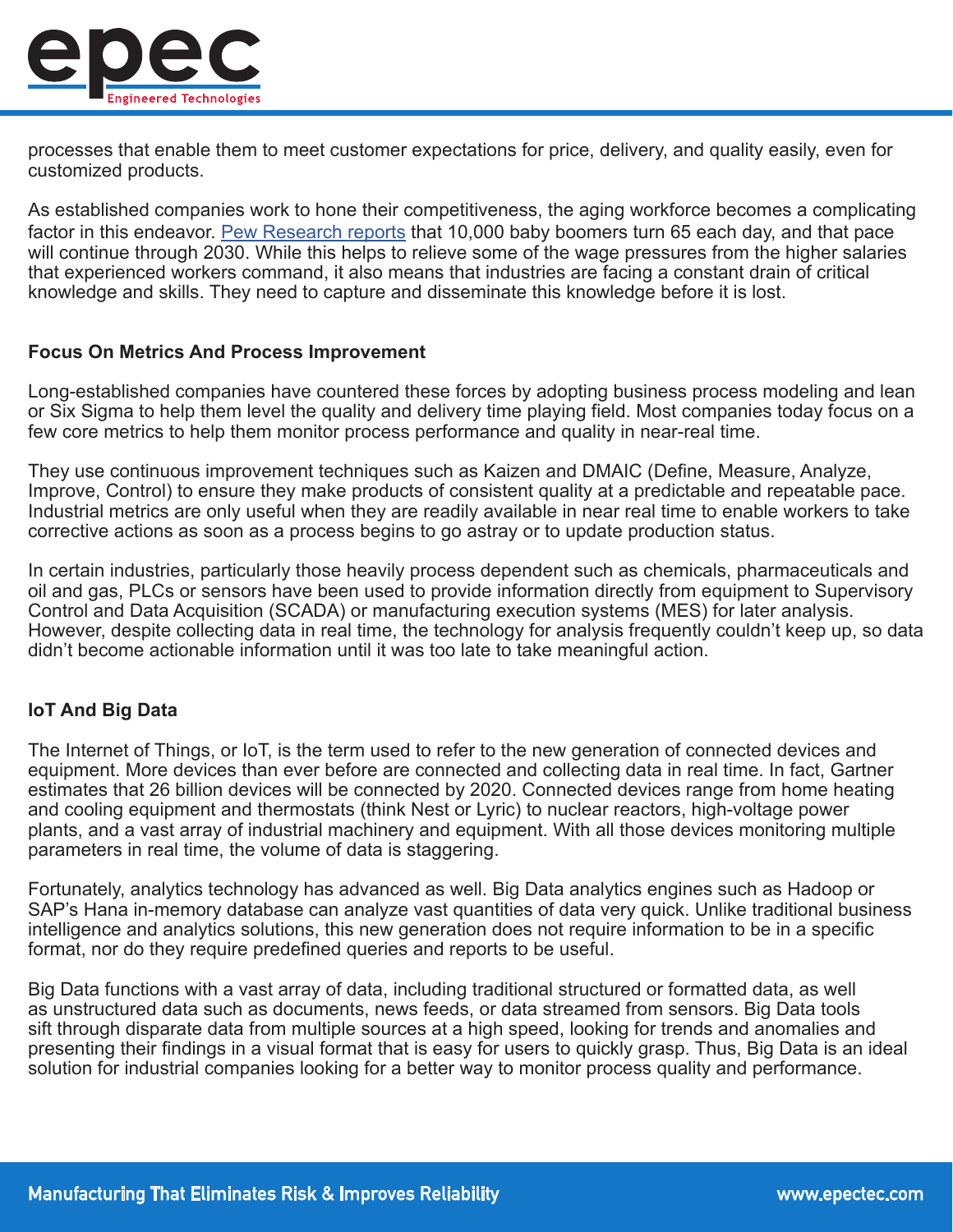

processes that enable them to meet customer expectations for price, delivery, and quality easily, even for customized products.

As established companies work to hone their competitiveness, the aging workforce becomes a complicating factor in this endeavor. [Pew Research reports](https://www.pewresearch.org/fact-tank/2010/12/29/baby-boomers-retire/) that 10,000 baby boomers turn 65 each day, and that pace will continue through 2030. While this helps to relieve some of the wage pressures from the higher salaries that experienced workers command, it also means that industries are facing a constant drain of critical knowledge and skills. They need to capture and disseminate this knowledge before it is lost.

#### **Focus On Metrics And Process Improvement**

Long-established companies have countered these forces by adopting business process modeling and lean or Six Sigma to help them level the quality and delivery time playing field. Most companies today focus on a few core metrics to help them monitor process performance and quality in near-real time.

They use continuous improvement techniques such as Kaizen and DMAIC (Define, Measure, Analyze, Improve, Control) to ensure they make products of consistent quality at a predictable and repeatable pace. Industrial metrics are only useful when they are readily available in near real time to enable workers to take corrective actions as soon as a process begins to go astray or to update production status.

In certain industries, particularly those heavily process dependent such as chemicals, pharmaceuticals and oil and gas, PLCs or sensors have been used to provide information directly from equipment to Supervisory Control and Data Acquisition (SCADA) or manufacturing execution systems (MES) for later analysis. However, despite collecting data in real time, the technology for analysis frequently couldn't keep up, so data didn't become actionable information until it was too late to take meaningful action.

## **IoT And Big Data**

The Internet of Things, or IoT, is the term used to refer to the new generation of connected devices and equipment. More devices than ever before are connected and collecting data in real time. In fact, Gartner estimates that 26 billion devices will be connected by 2020. Connected devices range from home heating and cooling equipment and thermostats (think Nest or Lyric) to nuclear reactors, high-voltage power plants, and a vast array of industrial machinery and equipment. With all those devices monitoring multiple parameters in real time, the volume of data is staggering.

Fortunately, analytics technology has advanced as well. Big Data analytics engines such as Hadoop or SAP's Hana in-memory database can analyze vast quantities of data very quick. Unlike traditional business intelligence and analytics solutions, this new generation does not require information to be in a specific format, nor do they require predefined queries and reports to be useful.

Big Data functions with a vast array of data, including traditional structured or formatted data, as well as unstructured data such as documents, news feeds, or data streamed from sensors. Big Data tools sift through disparate data from multiple sources at a high speed, looking for trends and anomalies and presenting their findings in a visual format that is easy for users to quickly grasp. Thus, Big Data is an ideal solution for industrial companies looking for a better way to monitor process quality and performance.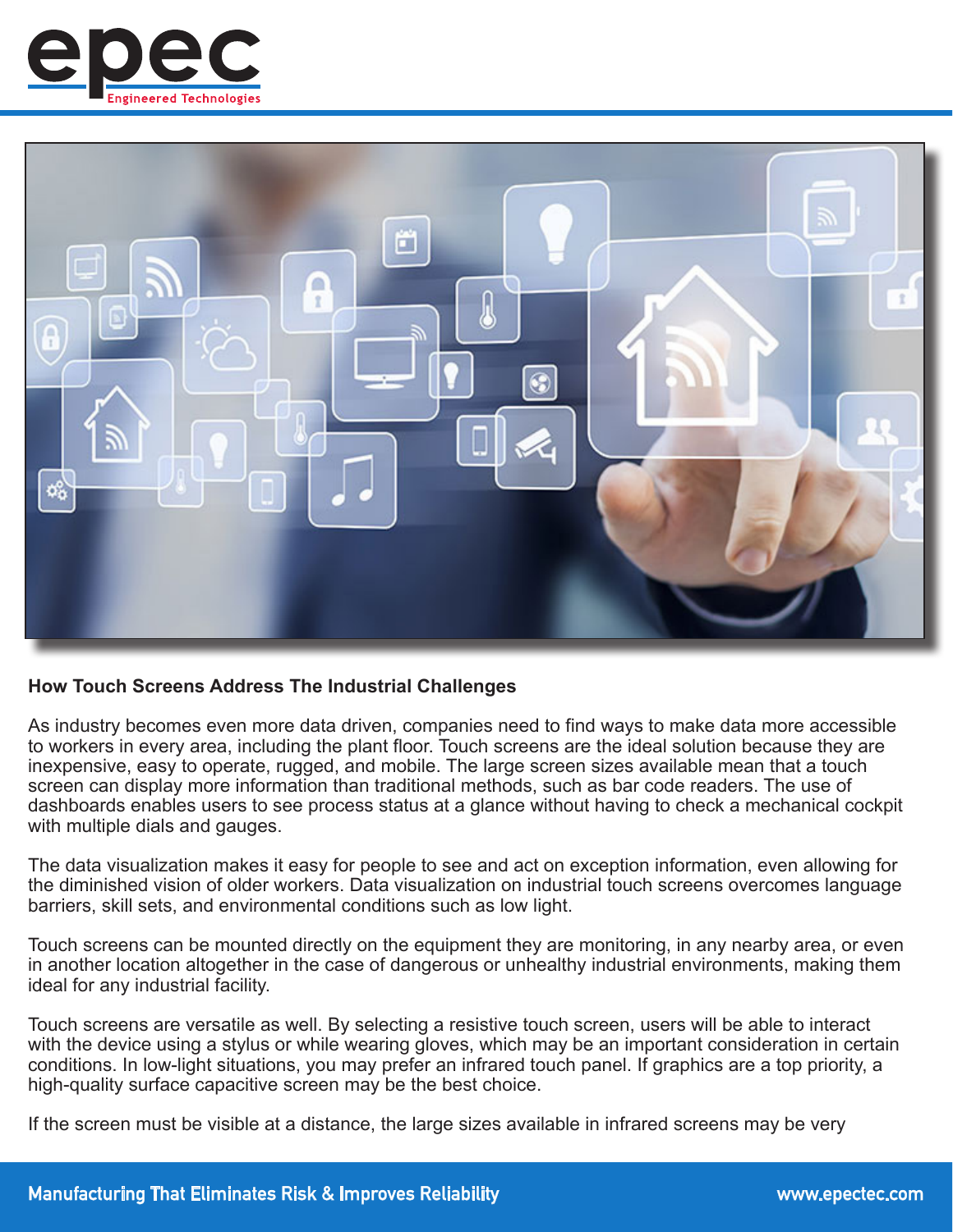



## **How Touch Screens Address The Industrial Challenges**

As industry becomes even more data driven, companies need to find ways to make data more accessible to workers in every area, including the plant floor. Touch screens are the ideal solution because they are inexpensive, easy to operate, rugged, and mobile. The large screen sizes available mean that a touch screen can display more information than traditional methods, such as bar code readers. The use of dashboards enables users to see process status at a glance without having to check a mechanical cockpit with multiple dials and gauges.

The data visualization makes it easy for people to see and act on exception information, even allowing for the diminished vision of older workers. Data visualization on industrial touch screens overcomes language barriers, skill sets, and environmental conditions such as low light.

Touch screens can be mounted directly on the equipment they are monitoring, in any nearby area, or even in another location altogether in the case of dangerous or unhealthy industrial environments, making them ideal for any industrial facility.

Touch screens are versatile as well. By selecting a resistive touch screen, users will be able to interact with the device using a stylus or while wearing gloves, which may be an important consideration in certain conditions. In low-light situations, you may prefer an infrared touch panel. If graphics are a top priority, a high-quality surface capacitive screen may be the best choice.

If the screen must be visible at a distance, the large sizes available in infrared screens may be very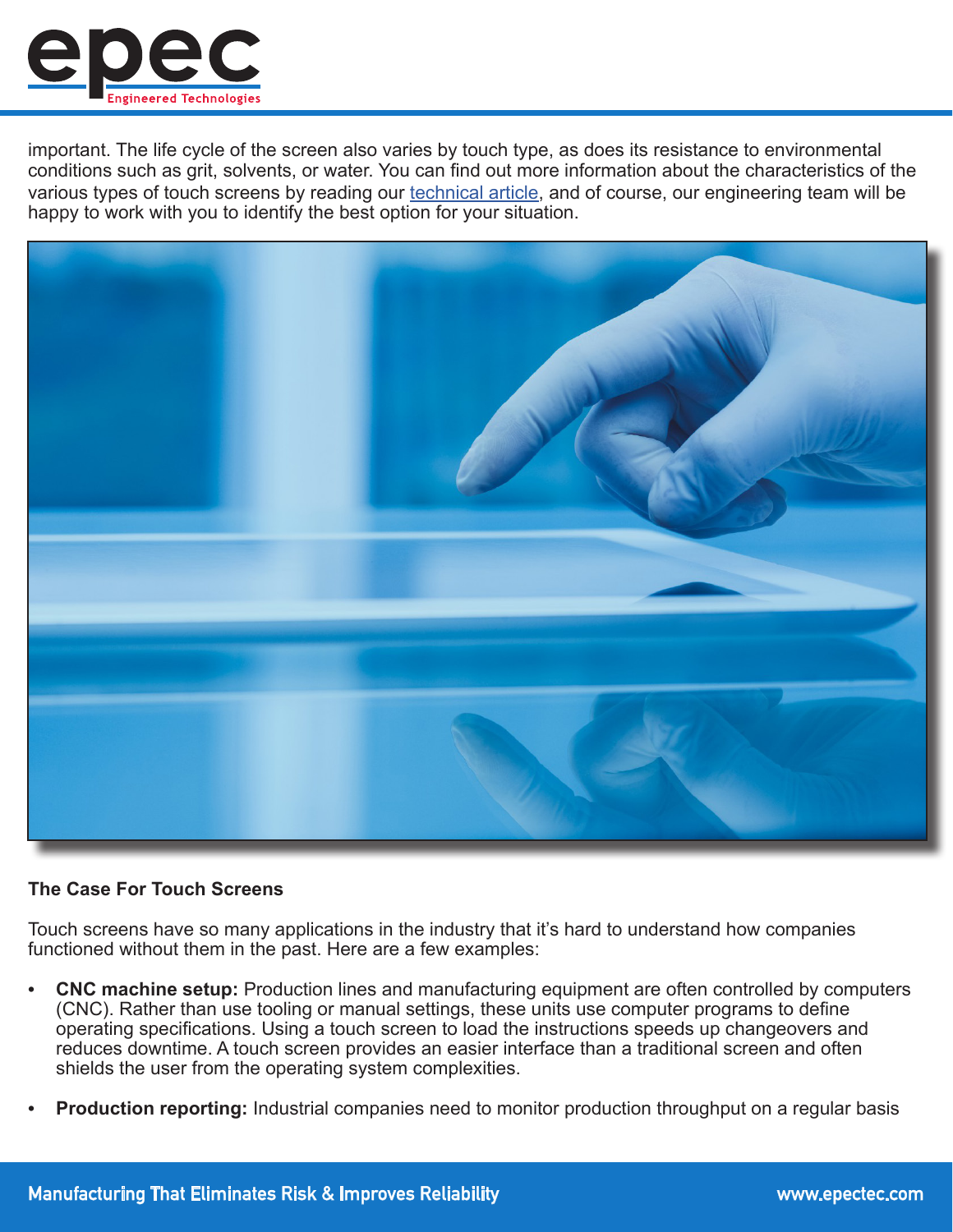

important. The life cycle of the screen also varies by touch type, as does its resistance to environmental conditions such as grit, solvents, or water. You can find out more information about the characteristics of the various types of touch screens by reading our [technical article](https://www.epectec.com/articles/the-technology-within-touch-panels.html), and of course, our engineering team will be happy to work with you to identify the best option for your situation.



#### **The Case For Touch Screens**

Touch screens have so many applications in the industry that it's hard to understand how companies functioned without them in the past. Here are a few examples:

- **• CNC machine setup:** Production lines and manufacturing equipment are often controlled by computers (CNC). Rather than use tooling or manual settings, these units use computer programs to define operating specifications. Using a touch screen to load the instructions speeds up changeovers and reduces downtime. A touch screen provides an easier interface than a traditional screen and often shields the user from the operating system complexities.
- **• Production reporting:** Industrial companies need to monitor production throughput on a regular basis